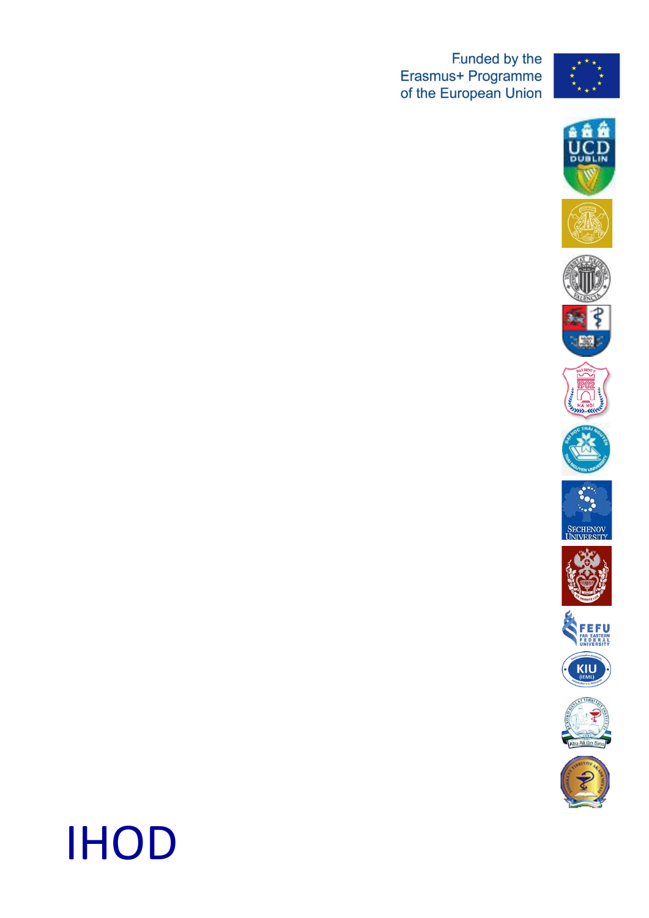**Example Erasmus+ Programme**<br>of the European Union























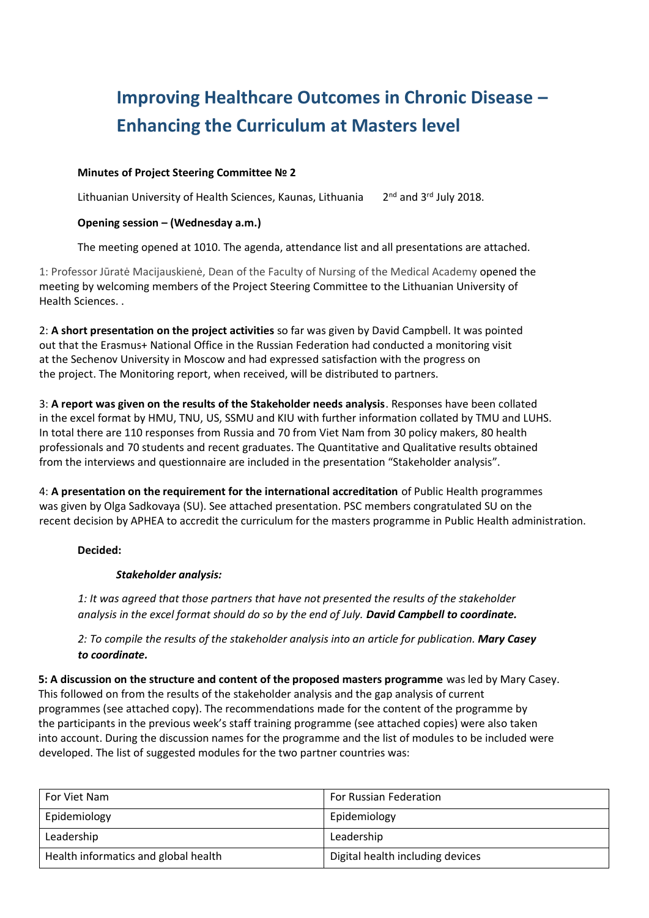# **Improving Healthcare Outcomes in Chronic Disease – Enhancing the Curriculum at Masters level**

#### **Minutes of Project Steering Committee № 2**

Lithuanian University of Health Sciences, Kaunas, Lithuania  $2<sup>nd</sup>$  and 3<sup>rd</sup> July 2018.

#### **Opening session – (Wednesday a.m.)**

The meeting opened at 1010. The agenda, attendance list and all presentations are attached.

1: Professor Jūratė Macijauskienė, Dean of the Faculty of Nursing of the Medical Academy opened the meeting by welcoming members of the Project Steering Committee to the Lithuanian University of Health Sciences. .

2: **A short presentation on the project activities** so far was given by David Campbell. It was pointed out that the Erasmus+ National Office in the Russian Federation had conducted a monitoring visit at the Sechenov University in Moscow and had expressed satisfaction with the progress on the project. The Monitoring report, when received, will be distributed to partners.

3: **A report was given on the results of the Stakeholder needs analysis**. Responses have been collated in the excel format by HMU, TNU, US, SSMU and KIU with further information collated by TMU and LUHS. In total there are 110 responses from Russia and 70 from Viet Nam from 30 policy makers, 80 health professionals and 70 students and recent graduates. The Quantitative and Qualitative results obtained from the interviews and questionnaire are included in the presentation "Stakeholder analysis".

4: **A presentation on the requirement for the international accreditation** of Public Health programmes was given by Olga Sadkovaya (SU). See attached presentation. PSC members congratulated SU on the recent decision by APHEA to accredit the curriculum for the masters programme in Public Health administration.

#### **Decided:**

#### *Stakeholder analysis:*

*1: It was agreed that those partners that have not presented the results of the stakeholder analysis in the excel format should do so by the end of July. David Campbell to coordinate.*

*2: To compile the results of the stakeholder analysis into an article for publication. Mary Casey to coordinate.*

**5: A discussion on the structure and content of the proposed masters programme** was led by Mary Casey. This followed on from the results of the stakeholder analysis and the gap analysis of current programmes (see attached copy). The recommendations made for the content of the programme by the participants in the previous week's staff training programme (see attached copies) were also taken into account. During the discussion names for the programme and the list of modules to be included were developed. The list of suggested modules for the two partner countries was:

| For Viet Nam                         | For Russian Federation           |
|--------------------------------------|----------------------------------|
| Epidemiology                         | Epidemiology                     |
| Leadership                           | Leadership                       |
| Health informatics and global health | Digital health including devices |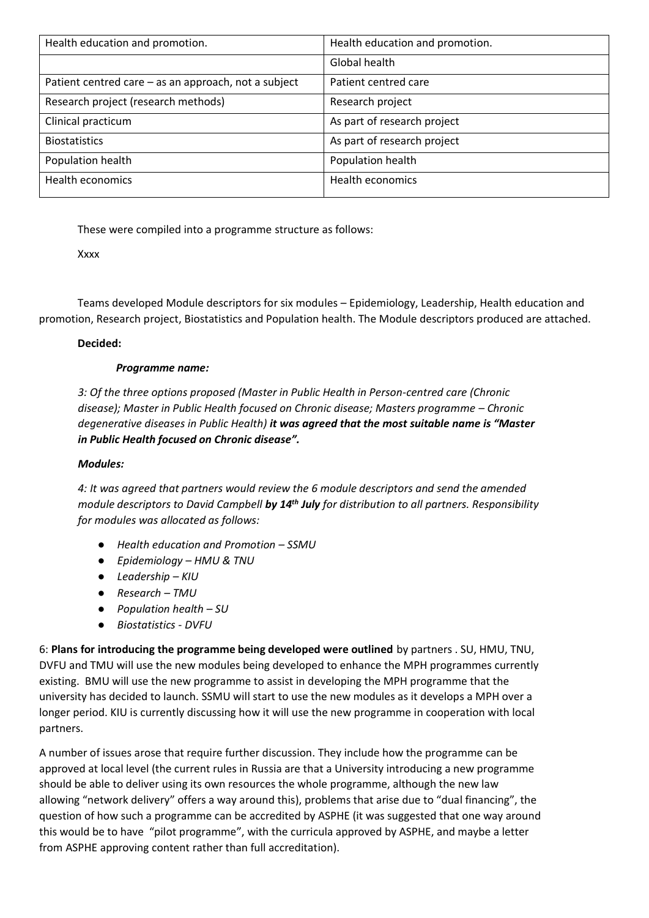| Health education and promotion.                      | Health education and promotion. |
|------------------------------------------------------|---------------------------------|
|                                                      | Global health                   |
| Patient centred care - as an approach, not a subject | Patient centred care            |
| Research project (research methods)                  | Research project                |
| Clinical practicum                                   | As part of research project     |
| <b>Biostatistics</b>                                 | As part of research project     |
| Population health                                    | Population health               |
| Health economics                                     | <b>Health economics</b>         |
|                                                      |                                 |

These were compiled into a programme structure as follows:

Xxxx

Teams developed Module descriptors for six modules – Epidemiology, Leadership, Health education and promotion, Research project, Biostatistics and Population health. The Module descriptors produced are attached.

## **Decided:**

## *Programme name:*

*3: Of the three options proposed (Master in Public Health in Person-centred care (Chronic disease); Master in Public Health focused on Chronic disease; Masters programme – Chronic degenerative diseases in Public Health) it was agreed that the most suitable name is "Master in Public Health focused on Chronic disease".*

#### *Modules:*

*4: It was agreed that partners would review the 6 module descriptors and send the amended module descriptors to David Campbell by 14th July for distribution to all partners. Responsibility for modules was allocated as follows:*

- *Health education and Promotion – SSMU*
- *Epidemiology – HMU & TNU*
- *Leadership – KIU*
- *Research – TMU*
- *Population health – SU*
- *Biostatistics - DVFU*

6: **Plans for introducing the programme being developed were outlined** by partners . SU, HMU, TNU, DVFU and TMU will use the new modules being developed to enhance the MPH programmes currently existing. BMU will use the new programme to assist in developing the MPH programme that the university has decided to launch. SSMU will start to use the new modules as it develops a MPH over a longer period. KIU is currently discussing how it will use the new programme in cooperation with local partners.

A number of issues arose that require further discussion. They include how the programme can be approved at local level (the current rules in Russia are that a University introducing a new programme should be able to deliver using its own resources the whole programme, although the new law allowing "network delivery" offers a way around this), problems that arise due to "dual financing", the question of how such a programme can be accredited by ASPHE (it was suggested that one way around this would be to have "pilot programme", with the curricula approved by ASPHE, and maybe a letter from ASPHE approving content rather than full accreditation).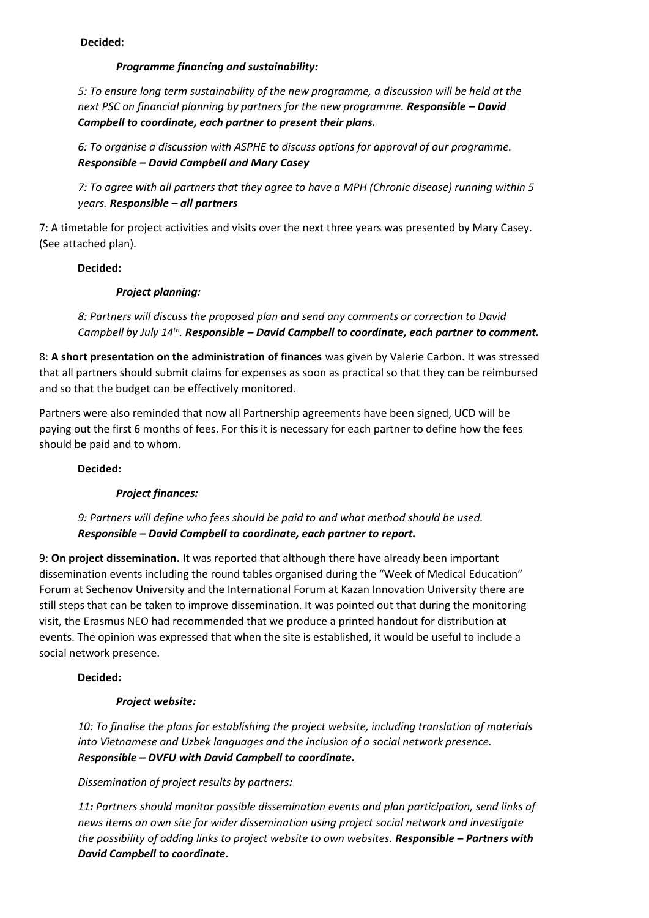## **Decided:**

## *Programme financing and sustainability:*

*5: To ensure long term sustainability of the new programme, a discussion will be held at the next PSC on financial planning by partners for the new programme. Responsible – David Campbell to coordinate, each partner to present their plans.*

*6: To organise a discussion with ASPHE to discuss options for approval of our programme. Responsible – David Campbell and Mary Casey*

*7: To agree with all partners that they agree to have a MPH (Chronic disease) running within 5 years. Responsible – all partners*

7: A timetable for project activities and visits over the next three years was presented by Mary Casey. (See attached plan).

## **Decided:**

# *Project planning:*

*8: Partners will discuss the proposed plan and send any comments or correction to David Campbell by July 14th . Responsible – David Campbell to coordinate, each partner to comment.*

8: **A short presentation on the administration of finances** was given by Valerie Carbon. It was stressed that all partners should submit claims for expenses as soon as practical so that they can be reimbursed and so that the budget can be effectively monitored.

Partners were also reminded that now all Partnership agreements have been signed, UCD will be paying out the first 6 months of fees. For this it is necessary for each partner to define how the fees should be paid and to whom.

#### **Decided:**

# *Project finances:*

*9: Partners will define who fees should be paid to and what method should be used. Responsible – David Campbell to coordinate, each partner to report.*

9: **On project dissemination.** It was reported that although there have already been important dissemination events including the round tables organised during the "Week of Medical Education" Forum at Sechenov University and the International Forum at Kazan Innovation University there are still steps that can be taken to improve dissemination. It was pointed out that during the monitoring visit, the Erasmus NEO had recommended that we produce a printed handout for distribution at events. The opinion was expressed that when the site is established, it would be useful to include a social network presence.

# **Decided:**

# *Project website:*

*10: To finalise the plans for establishing the project website, including translation of materials into Vietnamese and Uzbek languages and the inclusion of a social network presence. Responsible – DVFU with David Campbell to coordinate.*

#### *Dissemination of project results by partners:*

*11: Partners should monitor possible dissemination events and plan participation, send links of news items on own site for wider dissemination using project social network and investigate the possibility of adding links to project website to own websites. Responsible – Partners with David Campbell to coordinate.*